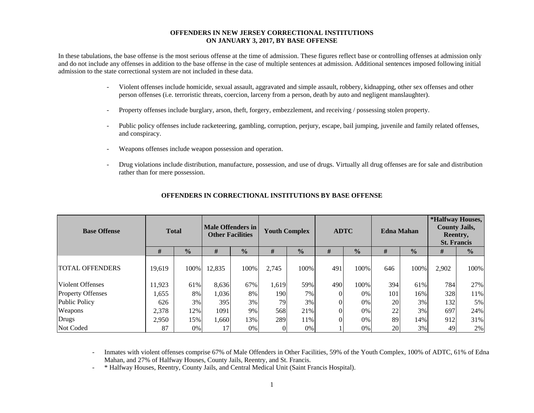#### **OFFENDERS IN NEW JERSEY CORRECTIONAL INSTITUTIONS ON JANUARY 3, 2017, BY BASE OFFENSE**

In these tabulations, the base offense is the most serious offense at the time of admission. These figures reflect base or controlling offenses at admission only and do not include any offenses in addition to the base offense in the case of multiple sentences at admission. Additional sentences imposed following initial admission to the state correctional system are not included in these data.

- - Violent offenses include homicide, sexual assault, aggravated and simple assault, robbery, kidnapping, other sex offenses and other person offenses (i.e. terroristic threats, coercion, larceny from a person, death by auto and negligent manslaughter).
- Property offenses include burglary, arson, theft, forgery, embezzlement, and receiving / possessing stolen property.
- Public policy offenses include racketeering, gambling, corruption, perjury, escape, bail jumping, juvenile and family related offenses, and conspiracy.
- Weapons offenses include weapon possession and operation.
- Drug violations include distribution, manufacture, possession, and use of drugs. Virtually all drug offenses are for sale and distribution rather than for mere possession.

| <b>Base Offense</b>      | <b>Total</b> |               | <b>Male Offenders in</b><br><b>Other Facilities</b> |               | <b>Youth Complex</b> |               |     | <b>ADTC</b>   |     | <b>Edna Mahan</b> | *Halfway Houses,<br><b>County Jails,</b><br>Reentry,<br><b>St. Francis</b> |               |  |
|--------------------------|--------------|---------------|-----------------------------------------------------|---------------|----------------------|---------------|-----|---------------|-----|-------------------|----------------------------------------------------------------------------|---------------|--|
|                          | #            | $\frac{1}{2}$ | #                                                   | $\frac{0}{0}$ | #                    | $\frac{0}{0}$ | #   | $\frac{0}{0}$ | #   | $\frac{0}{0}$     | #                                                                          | $\frac{0}{0}$ |  |
| <b>TOTAL OFFENDERS</b>   | 19.619       | 100%          | 12,835                                              | 100%          | 2,745                | 100%          | 491 | 100%          | 646 | 100%              | 2,902                                                                      | 100%          |  |
| <b>Violent Offenses</b>  | 11,923       | 61%           | 8,636                                               | 67%           | 1,619                | 59%           | 490 | 100%          | 394 | 61%               | 784                                                                        | 27%           |  |
| <b>Property Offenses</b> | 1,655        | 8%            | 1,036                                               | 8%            | 190                  | 7%            |     | 0%            | 101 | 16%               | 328                                                                        | 11%           |  |
| <b>Public Policy</b>     | 626          | 3%            | 395                                                 | 3%            | 79                   | 3%            |     | 0%            | 20  | 3%                | 132                                                                        | 5%            |  |
| Weapons                  | 2,378        | 12%           | 1091                                                | 9%            | 568                  | 21%           |     | 0%            | 22  | $3\%$             | 697                                                                        | 24%           |  |
| Drugs                    | 2,950        | 15%           | 1,660                                               | 13%           | 289                  | 11%           |     | 0%            | 89  | 14%               | 912                                                                        | 31%           |  |
| Not Coded                | 87           | 0%            |                                                     | 0%            |                      | 0%            |     | 0%            | 20  | 3%                | 49                                                                         | 2%            |  |

### **OFFENDERS IN CORRECTIONAL INSTITUTIONS BY BASE OFFENSE**

 Inmates with violent offenses comprise 67% of Male Offenders in Other Facilities, 59% of the Youth Complex, 100% of ADTC, 61% of Edna Mahan, and 27% of Halfway Houses, County Jails, Reentry, and St. Francis.

-\* Halfway Houses, Reentry, County Jails, and Central Medical Unit (Saint Francis Hospital).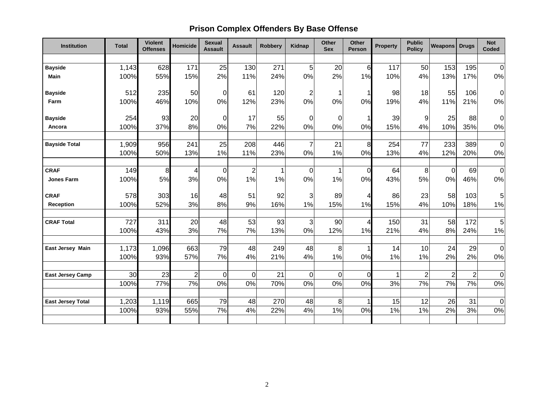# **Prison Complex Offenders By Base Offense**

| <b>Institution</b>       | <b>Total</b> | <b>Violent</b><br><b>Offenses</b> | <b>Homicide</b> | <b>Sexual</b><br><b>Assault</b> | <b>Assault</b> | <b>Robbery</b> | Kidnap         | Other<br><b>Sex</b> | <b>Other</b><br>Person | <b>Property</b> | <b>Public</b><br><b>Policy</b> | Weapons Drugs  |                | <b>Not</b><br>Coded |
|--------------------------|--------------|-----------------------------------|-----------------|---------------------------------|----------------|----------------|----------------|---------------------|------------------------|-----------------|--------------------------------|----------------|----------------|---------------------|
|                          |              |                                   |                 |                                 |                |                |                |                     |                        |                 |                                |                |                |                     |
| <b>Bayside</b>           | 1,143        | 628                               | 171             | 25                              | 130            | 271            | 5              | 20                  | 6                      | 117             | 50                             | 153            | 195            | $\Omega$            |
| Main                     | 100%         | 55%                               | 15%             | 2%                              | 11%            | 24%            | 0%             | 2%                  | 1%                     | 10%             | 4%                             | 13%            | 17%            | 0%                  |
| <b>Bayside</b>           | 512          | 235                               | 50              | $\overline{0}$                  | 61             | 120            | $\overline{c}$ | 1                   |                        | 98              | 18                             | 55             | 106            | $\overline{0}$      |
| Farm                     | 100%         | 46%                               | 10%             | 0%                              | 12%            | 23%            | 0%             | 0%                  | 0%                     | 19%             | 4%                             | 11%            | 21%            | 0%                  |
| <b>Bayside</b>           | 254          | 93                                | 20              | $\overline{0}$                  | 17             | 55             | $\mathbf 0$    | $\boldsymbol{0}$    |                        | 39              | 9                              | 25             | 88             | $\overline{0}$      |
| Ancora                   | 100%         | 37%                               | 8%              | 0%                              | 7%             | 22%            | 0%             | 0%                  | 0%                     | 15%             | 4%                             | 10%            | 35%            | 0%                  |
| <b>Bayside Total</b>     | 1,909        | 956                               | 241             | 25                              | 208            | 446            | $\overline{7}$ | 21                  | 8                      | 254             | 77                             | 233            | 389            | $\overline{0}$      |
|                          | 100%         | 50%                               | 13%             | 1%                              | 11%            | 23%            | 0%             | 1%                  | 0%                     | 13%             | 4%                             | 12%            | 20%            | $0\%$               |
|                          |              |                                   |                 |                                 |                |                |                |                     |                        |                 |                                |                |                |                     |
| <b>CRAF</b>              | 149          | 8                                 | 4               | $\overline{0}$                  | $\overline{c}$ |                | 0              | 1                   | $\Omega$               | 64              | 8                              | $\mathbf 0$    | 69             | $\overline{0}$      |
| <b>Jones Farm</b>        | 100%         | 5%                                | 3%              | 0%                              | 1%             | 1%             | 0%             | 1%                  | 0%                     | 43%             | 5%                             | 0%             | 46%            | 0%                  |
| <b>CRAF</b>              | 578          | 303                               | 16              | 48                              | 51             | 92             | 3              | 89                  | 4                      | 86              | 23                             | 58             | 103            | 5 <sup>1</sup>      |
| Reception                | 100%         | 52%                               | 3%              | 8%                              | 9%             | 16%            | 1%             | 15%                 | 1%                     | 15%             | 4%                             | 10%            | 18%            | 1%                  |
| <b>CRAF Total</b>        | 727          | 311                               | 20              | 48                              | 53             | 93             | 3              | 90                  | 4                      | 150             | 31                             | 58             | 172            | 5 <sup>1</sup>      |
|                          | 100%         | 43%                               | 3%              | 7%                              | 7%             | 13%            | 0%             | 12%                 | 1%                     | 21%             | 4%                             | 8%             | 24%            | $1\%$               |
| <b>East Jersey Main</b>  | 1,173        | 1,096                             | 663             | 79                              | 48             | 249            | 48             | 8                   |                        | 14              | 10                             | 24             | 29             | $\overline{0}$      |
|                          | 100%         | 93%                               | 57%             | 7%                              | 4%             | 21%            | 4%             | 1%                  | 0%                     | 1%              | 1%                             | 2%             | 2%             | $0\%$               |
|                          |              |                                   |                 |                                 |                |                |                |                     |                        |                 |                                |                |                |                     |
| <b>East Jersey Camp</b>  | 30           | 23                                | $\overline{2}$  | $\overline{0}$                  | $\mathbf 0$    | 21             | $\overline{0}$ | $\mathbf 0$         | $\Omega$               |                 | $\overline{c}$                 | $\overline{2}$ | $\overline{2}$ | $\overline{0}$      |
|                          | 100%         | 77%                               | 7%              | 0%                              | 0%             | 70%            | 0%             | 0%                  | 0%                     | 3%              | 7%                             | 7%             | 7%             | $0\%$               |
| <b>East Jersey Total</b> | 1,203        | 1,119                             | 665             | 79                              | 48             | 270            | 48             | 8                   |                        | 15              | 12                             | 26             | 31             | $\overline{0}$      |
|                          | 100%         | 93%                               | 55%             | 7%                              | 4%             | 22%            | 4%             | 1%                  | 0%                     | 1%              | 1%                             | 2%             | 3%             | $0\%$               |
|                          |              |                                   |                 |                                 |                |                |                |                     |                        |                 |                                |                |                |                     |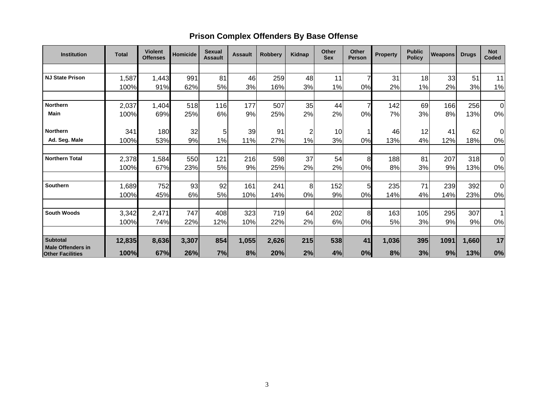## **Prison Complex Offenders By Base Offense**

| <b>Institution</b>                                  | <b>Total</b> | <b>Violent</b><br><b>Offenses</b> | <b>Homicide</b> | <b>Sexual</b><br><b>Assault</b> | <b>Assault</b> | <b>Robbery</b> | Kidnap | <b>Other</b><br><b>Sex</b> | <b>Other</b><br><b>Person</b> | <b>Property</b> | <b>Public</b><br><b>Policy</b> | <b>Weapons</b> | <b>Drugs</b> | <b>Not</b><br>Coded |
|-----------------------------------------------------|--------------|-----------------------------------|-----------------|---------------------------------|----------------|----------------|--------|----------------------------|-------------------------------|-----------------|--------------------------------|----------------|--------------|---------------------|
|                                                     |              |                                   |                 |                                 |                |                |        |                            |                               |                 |                                |                |              |                     |
| <b>NJ State Prison</b>                              | 1,587        | 1,443                             | 991             | 81                              | 46             | 259            | 48     | 11                         | 7                             | 31              | 18                             | 33             | 51           | 11                  |
|                                                     | 100%         | 91%                               | 62%             | 5%                              | 3%             | 16%            | 3%     | 1%                         | 0%                            | 2%              | 1%                             | 2%             | 3%           | 1%                  |
|                                                     |              |                                   |                 |                                 |                |                |        |                            |                               |                 |                                |                |              |                     |
| <b>Northern</b>                                     | 2,037        | 1,404                             | 518             | 116                             | 177            | 507            | 35     | 44                         |                               | 142             | 69                             | 166            | 256          | 0                   |
| <b>Main</b>                                         | 100%         | 69%                               | 25%             | 6%                              | 9%             | 25%            | 2%     | 2%                         | 0%                            | 7%              | 3%                             | 8%             | 13%          | 0%                  |
|                                                     |              |                                   |                 |                                 |                |                |        |                            |                               |                 |                                |                |              |                     |
| Northern                                            | 341          | 180                               | 32              | 5                               | 39             | 91             | 2      | 10                         |                               | 46              | 12                             | 41             | 62           | 0                   |
| Ad. Seg. Male                                       | 100%         | 53%                               | 9%              | 1%                              | 11%            | 27%            | 1%     | 3%                         | 0%                            | 13%             | 4%                             | 12%            | 18%          | 0%                  |
|                                                     |              |                                   |                 |                                 |                |                |        |                            |                               |                 |                                |                |              |                     |
| <b>Northern Total</b>                               | 2,378        | 1,584                             | 550             | 121                             | 216            | 598            | 37     | 54                         | 8                             | 188             | 81                             | 207            | 318          | $\overline{0}$      |
|                                                     | 100%         | 67%                               | 23%             | 5%                              | 9%             | 25%            | 2%     | 2%                         | 0%                            | 8%              | 3%                             | 9%             | 13%          | 0%                  |
|                                                     |              |                                   |                 |                                 |                |                |        |                            |                               |                 |                                |                |              |                     |
| Southern                                            | 1,689        | 752                               | 93              | 92                              | 161            | 241            | 8      | 152                        | 5                             | 235             | 71                             | 239            | 392          | $\overline{0}$      |
|                                                     | 100%         | 45%                               | 6%              | 5%                              | 10%            | 14%            | $0\%$  | 9%                         | 0%                            | 14%             | 4%                             | 14%            | 23%          | 0%                  |
|                                                     |              |                                   |                 |                                 |                |                |        |                            |                               |                 |                                |                |              |                     |
| <b>South Woods</b>                                  | 3,342        | 2,471                             | 747             | 408                             | 323            | 719            | 64     | 202                        | 8                             | 163             | 105                            | 295            | 307          | $\mathbf 1$         |
|                                                     | 100%         | 74%                               | 22%             | 12%                             | 10%            | 22%            | 2%     | 6%                         | 0%                            | 5%              | 3%                             | 9%             | 9%           | 0%                  |
|                                                     |              |                                   |                 |                                 |                |                |        |                            |                               |                 |                                |                |              |                     |
| <b>Subtotal</b>                                     | 12,835       | 8,636                             | 3,307           | 854                             | 1,055          | 2,626          | 215    | 538                        | 41                            | 1,036           | 395                            | 1091           | 1,660        | 17                  |
| <b>Male Offenders in</b><br><b>Other Facilities</b> | 100%         | 67%                               | 26%             | 7%                              | 8%             | 20%            | 2%     | 4%                         | 0%                            | 8%              | 3%                             | 9%             | 13%          | 0%                  |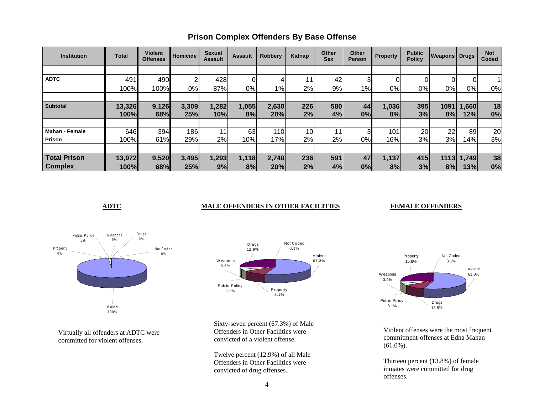| <b>Institution</b>    | <b>Total</b> | <b>Violent</b><br><b>Offenses</b> | Homicide | <b>Sexual</b><br><b>Assault</b> | <b>Assault</b> | <b>Robbery</b> | Kidnap | Other<br><b>Sex</b> | Other<br><b>Person</b> | Property | <b>Public</b><br><b>Policy</b> | <b>Weapons Drugs</b> |        | <b>Not</b><br>Coded |
|-----------------------|--------------|-----------------------------------|----------|---------------------------------|----------------|----------------|--------|---------------------|------------------------|----------|--------------------------------|----------------------|--------|---------------------|
|                       |              |                                   |          |                                 |                |                |        |                     |                        |          |                                |                      |        |                     |
| <b>ADTC</b>           | 491          | 490                               | ົ        | 428                             |                | 4              | 11     | 42                  | 3                      |          | 01                             | 0                    | 0      |                     |
|                       | 100%         | 100%                              | 0%       | 87%                             | 0%             | $1\%$          | 2%     | 9%                  | 1%                     | 0%       | 0%                             | 0%                   | 0%     | 0%                  |
|                       |              |                                   |          |                                 |                |                |        |                     |                        |          |                                |                      |        |                     |
| <b>Subtotal</b>       | 13,326       | 9,126                             | 3,309    | 1,282                           | 1,055          | 2,630          | 226    | 580                 | 44                     | 1,036    | 395                            | 1091                 | 000, 1 | 18                  |
|                       | 100%         | 68%                               | 25%      | 10%                             | 8%             | 20%            | 2%     | 4%                  | 0%                     | 8%       | 3%                             | 8%                   | 12%    | 0%                  |
|                       |              |                                   |          |                                 |                |                |        |                     |                        |          |                                |                      |        |                     |
| <b>Mahan - Female</b> | 646          | 394                               | 186      | 11                              | 63             | 110            | 10     |                     | 3                      | 101      | 20                             | 22                   | 89     | 20                  |
| Prison                | 100%         | 61%                               | 29%      | 2%                              | 10%            | 17%            | 2%     | 2%                  | 0%                     | 16%      | 3%                             | 3%                   | 14%    | 3%                  |
|                       |              |                                   |          |                                 |                |                |        |                     |                        |          |                                |                      |        |                     |
| <b>Total Prison</b>   | 13,972       | 9,520                             | 3,495    | 1,293                           | 1,118          | 2,740          | 236    | 591                 | 47                     | 1,137    | 415                            | 1113                 | 1,749  | 38                  |
| <b>Complex</b>        | 100%         | 68%                               | 25%      | 9%                              | 8%             | 20%            | 2%     | 4%                  | 0%                     | 8%       | 3%                             | 8%                   | 13%    | 0%                  |

## **Prison Complex Offenders By Base Offense**

### **ADTC** MALE OFFENDERS IN OTHER FACILITIES

#### **FEMALE OFFENDERS**



Virtually all offenders at ADTC were committed for violent offenses.



Sixty-seven percent (67.3%) of Male Offenders in Other Facilities were convicted of a violent offense.

Twelve percent (12.9%) of all Male Offenders in Other Facilities were convicted of drug offenses.



Violent offenses were the most frequent commitment-offenses at Edna Mahan (61.0%).

Thirteen percent (13.8%) of female inmates were committed for drug offenses.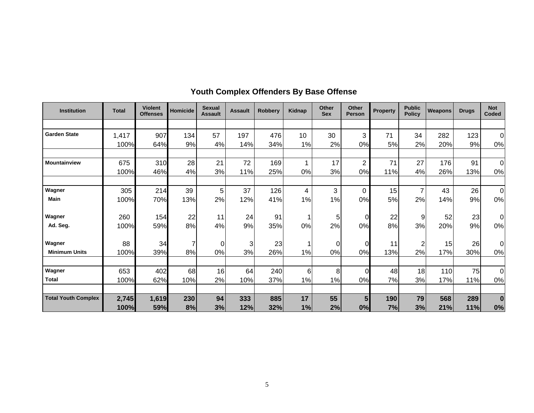| <b>Institution</b>         | <b>Total</b> | <b>Violent</b><br><b>Offenses</b> | <b>Homicide</b> | <b>Sexual</b><br><b>Assault</b> | <b>Assault</b> | <b>Robberv</b> | <b>Kidnap</b> | Other<br><b>Sex</b> | Other<br><b>Person</b> | <b>Property</b> | <b>Public</b><br><b>Policy</b> | <b>Weapons</b> | <b>Drugs</b> | <b>Not</b><br>Coded |
|----------------------------|--------------|-----------------------------------|-----------------|---------------------------------|----------------|----------------|---------------|---------------------|------------------------|-----------------|--------------------------------|----------------|--------------|---------------------|
|                            |              |                                   |                 |                                 |                |                |               |                     |                        |                 |                                |                |              |                     |
| <b>Garden State</b>        | 1,417        | 907                               | 134             | 57                              | 197            | 476            | 10            | 30                  | 3                      | 71              | 34                             | 282            | 123          | $\Omega$            |
|                            | 100%         | 64%                               | 9%              | 4%                              | 14%            | 34%            | 1%            | 2%                  | 0%                     | 5%              | 2%                             | 20%            | 9%           | 0%                  |
| <b>Mountainview</b>        | 675          | 310                               | 28              | 21                              | 72             | 169            | 1             | 17                  | $\overline{2}$         | 71              | 27                             | 176            | 91           | $\Omega$            |
|                            | 100%         | 46%                               | 4%              | 3%                              | 11%            | 25%            | 0%            | 3%                  | 0%                     | 11%             | 4%                             | 26%            | 13%          | 0%                  |
| Wagner                     | 305          | 214                               | 39              | 5                               | 37             | 126            | 4             | 3                   | $\mathbf 0$            | 15              | 7                              | 43             | 26           | $\Omega$            |
| <b>Main</b>                | 100%         | 70%                               | 13%             | 2%                              | 12%            | 41%            | 1%            | 1%                  | 0%                     | 5%              | 2%                             | 14%            | 9%           | 0%                  |
| Wagner                     | 260          | 154                               | 22              | 11                              | 24             | 91             | 1             | 5                   | $\overline{O}$         | 22              | 9                              | 52             | 23           | 0                   |
| Ad. Seq.                   | 100%         | 59%                               | 8%              | 4%                              | 9%             | 35%            | 0%            | 2%                  | 0%                     | 8%              | 3%                             | 20%            | 9%           | 0%                  |
| Wagner                     | 88           | 34                                | 7               | $\Omega$                        | 3              | 23             |               | $\Omega$            | $\overline{0}$         | 11              | $\overline{2}$                 | 15             | 26           | $\Omega$            |
| <b>Minimum Units</b>       | 100%         | 39%                               | 8%              | 0%                              | 3%             | 26%            | 1%            | 0%                  | 0%                     | 13%             | 2%                             | 17%            | 30%          | 0%                  |
| Wagner                     | 653          | 402                               | 68              | 16                              | 64             | 240            | 6             | 8                   | $\overline{0}$         | 48              | 18                             | 110            | 75           | $\Omega$            |
| <b>Total</b>               | 100%         | 62%                               | 10%             | 2%                              | 10%            | 37%            | 1%            | 1%                  | 0%                     | 7%              | 3%                             | 17%            | 11%          | 0%                  |
| <b>Total Youth Complex</b> | 2,745        | 1,619                             | 230             | 94                              | 333            | 885            | 17            | 55                  | $5\phantom{1}$         | 190             | 79                             | 568            | 289          | $\bf{0}$            |
|                            | 100%         | 59%                               | 8%              | 3%                              | 12%            | 32%            | 1%            | 2%                  | 0%                     | 7%              | 3%                             | 21%            | 11%          | 0%                  |

## **Youth Complex Offenders By Base Offense**